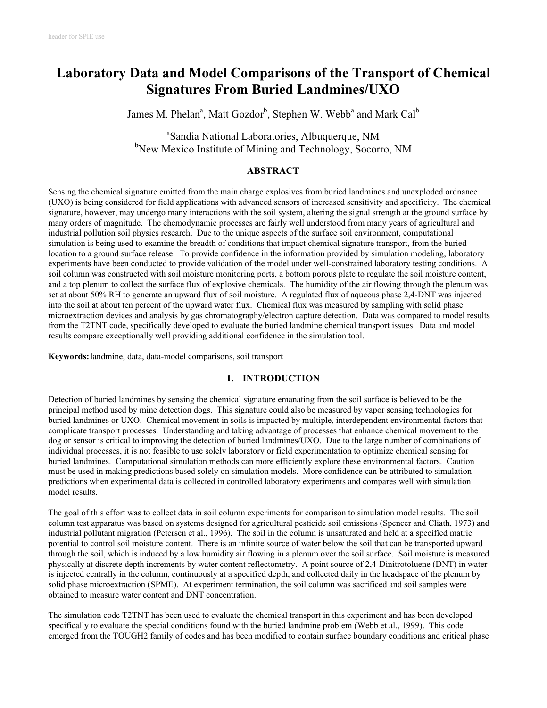# **Laboratory Data and Model Comparisons of the Transport of Chemical Signatures From Buried Landmines/UXO**

James M. Phelan<sup>a</sup>, Matt Gozdor<sup>b</sup>, Stephen W. Webb<sup>a</sup> and Mark Cal<sup>b</sup>

## a Sandia National Laboratories, Albuquerque, NM <sup>b</sup>New Mexico Institute of Mining and Technology, Socorro, NM

## **ABSTRACT**

Sensing the chemical signature emitted from the main charge explosives from buried landmines and unexploded ordnance (UXO) is being considered for field applications with advanced sensors of increased sensitivity and specificity. The chemical signature, however, may undergo many interactions with the soil system, altering the signal strength at the ground surface by many orders of magnitude. The chemodynamic processes are fairly well understood from many years of agricultural and industrial pollution soil physics research. Due to the unique aspects of the surface soil environment, computational simulation is being used to examine the breadth of conditions that impact chemical signature transport, from the buried location to a ground surface release. To provide confidence in the information provided by simulation modeling, laboratory experiments have been conducted to provide validation of the model under well-constrained laboratory testing conditions. A soil column was constructed with soil moisture monitoring ports, a bottom porous plate to regulate the soil moisture content, and a top plenum to collect the surface flux of explosive chemicals. The humidity of the air flowing through the plenum was set at about 50% RH to generate an upward flux of soil moisture. A regulated flux of aqueous phase 2,4-DNT was injected into the soil at about ten percent of the upward water flux. Chemical flux was measured by sampling with solid phase microextraction devices and analysis by gas chromatography/electron capture detection. Data was compared to model results from the T2TNT code, specifically developed to evaluate the buried landmine chemical transport issues. Data and model results compare exceptionally well providing additional confidence in the simulation tool.

**Keywords:**landmine, data, data-model comparisons, soil transport

## **1. INTRODUCTION**

Detection of buried landmines by sensing the chemical signature emanating from the soil surface is believed to be the principal method used by mine detection dogs. This signature could also be measured by vapor sensing technologies for buried landmines or UXO. Chemical movement in soils is impacted by multiple, interdependent environmental factors that complicate transport processes. Understanding and taking advantage of processes that enhance chemical movement to the dog or sensor is critical to improving the detection of buried landmines/UXO. Due to the large number of combinations of individual processes, it is not feasible to use solely laboratory or field experimentation to optimize chemical sensing for buried landmines. Computational simulation methods can more efficiently explore these environmental factors. Caution must be used in making predictions based solely on simulation models. More confidence can be attributed to simulation predictions when experimental data is collected in controlled laboratory experiments and compares well with simulation model results.

The goal of this effort was to collect data in soil column experiments for comparison to simulation model results. The soil column test apparatus was based on systems designed for agricultural pesticide soil emissions (Spencer and Cliath, 1973) and industrial pollutant migration (Petersen et al., 1996). The soil in the column is unsaturated and held at a specified matric potential to control soil moisture content. There is an infinite source of water below the soil that can be transported upward through the soil, which is induced by a low humidity air flowing in a plenum over the soil surface. Soil moisture is measured physically at discrete depth increments by water content reflectometry. A point source of 2,4-Dinitrotoluene (DNT) in water is injected centrally in the column, continuously at a specified depth, and collected daily in the headspace of the plenum by solid phase microextraction (SPME). At experiment termination, the soil column was sacrificed and soil samples were obtained to measure water content and DNT concentration.

The simulation code T2TNT has been used to evaluate the chemical transport in this experiment and has been developed specifically to evaluate the special conditions found with the buried landmine problem (Webb et al., 1999). This code emerged from the TOUGH2 family of codes and has been modified to contain surface boundary conditions and critical phase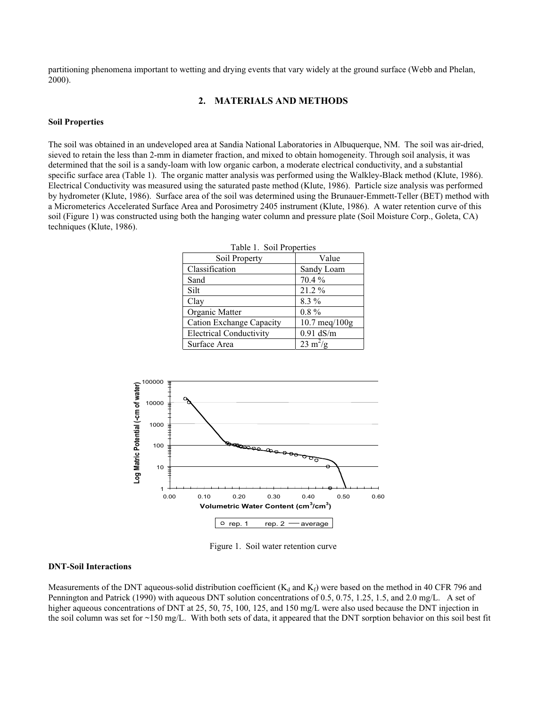partitioning phenomena important to wetting and drying events that vary widely at the ground surface (Webb and Phelan, 2000).

## **2. MATERIALS AND METHODS**

#### **Soil Properties**

The soil was obtained in an undeveloped area at Sandia National Laboratories in Albuquerque, NM. The soil was air-dried, sieved to retain the less than 2-mm in diameter fraction, and mixed to obtain homogeneity. Through soil analysis, it was determined that the soil is a sandy-loam with low organic carbon, a moderate electrical conductivity, and a substantial specific surface area (Table 1). The organic matter analysis was performed using the Walkley-Black method (Klute, 1986). Electrical Conductivity was measured using the saturated paste method (Klute, 1986). Particle size analysis was performed by hydrometer (Klute, 1986). Surface area of the soil was determined using the Brunauer-Emmett-Teller (BET) method with a Micrometerics Accelerated Surface Area and Porosimetry 2405 instrument (Klute, 1986). A water retention curve of this soil (Figure 1) was constructed using both the hanging water column and pressure plate (Soil Moisture Corp., Goleta, CA) techniques (Klute, 1986).

| Table 1. Soil Properties        |                                 |  |
|---------------------------------|---------------------------------|--|
| Soil Property                   | Value                           |  |
| Classification                  | Sandy Loam                      |  |
| Sand                            | 70.4 %                          |  |
| Silt                            | 21.2%                           |  |
| Clay                            | $8.3\%$                         |  |
| Organic Matter                  | $0.8\%$                         |  |
| <b>Cation Exchange Capacity</b> | $10.7 \text{ meq}/100 \text{g}$ |  |
| <b>Electrical Conductivity</b>  | $0.91$ dS/m                     |  |
| Surface Area                    | $23 \text{ m}^2/\text{g}$       |  |



Figure 1. Soil water retention curve

## **DNT-Soil Interactions**

Measurements of the DNT aqueous-solid distribution coefficient ( $K_d$  and  $K_f$ ) were based on the method in 40 CFR 796 and Pennington and Patrick (1990) with aqueous DNT solution concentrations of 0.5, 0.75, 1.25, 1.5, and 2.0 mg/L. A set of higher aqueous concentrations of DNT at 25, 50, 75, 100, 125, and 150 mg/L were also used because the DNT injection in the soil column was set for  $\sim$ 150 mg/L. With both sets of data, it appeared that the DNT sorption behavior on this soil best fit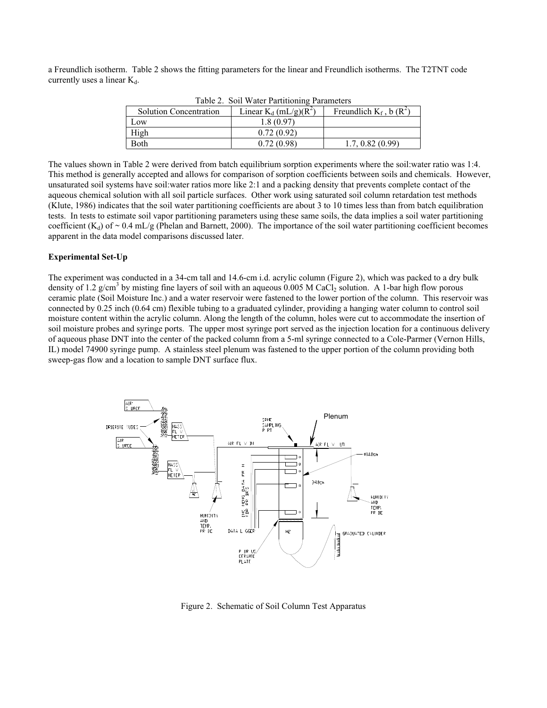a Freundlich isotherm. Table 2 shows the fitting parameters for the linear and Freundlich isotherms. The T2TNT code currently uses a linear  $K_d$ .

| Table 2. Soil water I althouing I alameters |                              |                              |
|---------------------------------------------|------------------------------|------------------------------|
| <b>Solution Concentration</b>               | Linear $K_d$ (mL/g)( $R^2$ ) | Freundlich $K_f$ , b $(R^2)$ |
| Low                                         | 1.8 (0.97)                   |                              |
| High                                        | 0.72(0.92)                   |                              |
| <b>B</b> oth                                | 0.72(0.98)                   | 1.7, 0.82 (0.99)             |
|                                             |                              |                              |

Table 2. Soil Water Partitioning Parameters

The values shown in Table 2 were derived from batch equilibrium sorption experiments where the soil:water ratio was 1:4. This method is generally accepted and allows for comparison of sorption coefficients between soils and chemicals. However, unsaturated soil systems have soil:water ratios more like 2:1 and a packing density that prevents complete contact of the aqueous chemical solution with all soil particle surfaces. Other work using saturated soil column retardation test methods (Klute, 1986) indicates that the soil water partitioning coefficients are about 3 to 10 times less than from batch equilibration tests. In tests to estimate soil vapor partitioning parameters using these same soils, the data implies a soil water partitioning coefficient (K<sub>d</sub>) of ~ 0.4 mL/g (Phelan and Barnett, 2000). The importance of the soil water partitioning coefficient becomes apparent in the data model comparisons discussed later.

## **Experimental Set-Up**

The experiment was conducted in a 34-cm tall and 14.6-cm i.d. acrylic column (Figure 2), which was packed to a dry bulk density of 1.2 g/cm<sup>3</sup> by misting fine layers of soil with an aqueous 0.005 M CaCl<sub>2</sub> solution. A 1-bar high flow porous ceramic plate (Soil Moisture Inc.) and a water reservoir were fastened to the lower portion of the column. This reservoir was connected by 0.25 inch (0.64 cm) flexible tubing to a graduated cylinder, providing a hanging water column to control soil moisture content within the acrylic column. Along the length of the column, holes were cut to accommodate the insertion of soil moisture probes and syringe ports. The upper most syringe port served as the injection location for a continuous delivery of aqueous phase DNT into the center of the packed column from a 5-ml syringe connected to a Cole-Parmer (Vernon Hills, IL) model 74900 syringe pump. A stainless steel plenum was fastened to the upper portion of the column providing both sweep-gas flow and a location to sample DNT surface flux.



Figure 2. Schematic of Soil Column Test Apparatus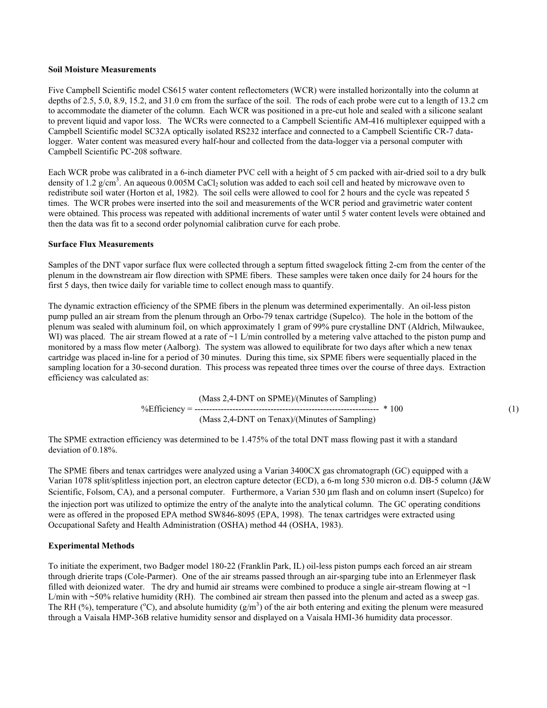## **Soil Moisture Measurements**

Five Campbell Scientific model CS615 water content reflectometers (WCR) were installed horizontally into the column at depths of 2.5, 5.0, 8.9, 15.2, and 31.0 cm from the surface of the soil. The rods of each probe were cut to a length of 13.2 cm to accommodate the diameter of the column. Each WCR was positioned in a pre-cut hole and sealed with a silicone sealant to prevent liquid and vapor loss. The WCRs were connected to a Campbell Scientific AM-416 multiplexer equipped with a Campbell Scientific model SC32A optically isolated RS232 interface and connected to a Campbell Scientific CR-7 datalogger. Water content was measured every half-hour and collected from the data-logger via a personal computer with Campbell Scientific PC-208 software.

Each WCR probe was calibrated in a 6-inch diameter PVC cell with a height of 5 cm packed with air-dried soil to a dry bulk density of 1.2  $g/cm^3$ . An aqueous 0.005M CaCl<sub>2</sub> solution was added to each soil cell and heated by microwave oven to redistribute soil water (Horton et al, 1982). The soil cells were allowed to cool for 2 hours and the cycle was repeated 5 times. The WCR probes were inserted into the soil and measurements of the WCR period and gravimetric water content were obtained. This process was repeated with additional increments of water until 5 water content levels were obtained and then the data was fit to a second order polynomial calibration curve for each probe.

## **Surface Flux Measurements**

Samples of the DNT vapor surface flux were collected through a septum fitted swagelock fitting 2-cm from the center of the plenum in the downstream air flow direction with SPME fibers. These samples were taken once daily for 24 hours for the first 5 days, then twice daily for variable time to collect enough mass to quantify.

The dynamic extraction efficiency of the SPME fibers in the plenum was determined experimentally. An oil-less piston pump pulled an air stream from the plenum through an Orbo-79 tenax cartridge (Supelco). The hole in the bottom of the plenum was sealed with aluminum foil, on which approximately 1 gram of 99% pure crystalline DNT (Aldrich, Milwaukee, WI) was placed. The air stream flowed at a rate of  $\sim$ 1 L/min controlled by a metering valve attached to the piston pump and monitored by a mass flow meter (Aalborg). The system was allowed to equilibrate for two days after which a new tenax cartridge was placed in-line for a period of 30 minutes. During this time, six SPME fibers were sequentially placed in the sampling location for a 30-second duration. This process was repeated three times over the course of three days. Extraction efficiency was calculated as:

$$
\%Efficiency = \frac{\text{(Mass 2,4-DNT on SPME)/(Minutes of Sampling)}}{\text{(Mass 2,4-DNT on Tenax)/(Minutes of Sampling)}} * 100 \tag{1}
$$

The SPME extraction efficiency was determined to be 1.475% of the total DNT mass flowing past it with a standard deviation of 0.18%.

The SPME fibers and tenax cartridges were analyzed using a Varian 3400CX gas chromatograph (GC) equipped with a Varian 1078 split/splitless injection port, an electron capture detector (ECD), a 6-m long 530 micron o.d. DB-5 column (J&W Scientific, Folsom, CA), and a personal computer. Furthermore, a Varian 530  $\mu$ m flash and on column insert (Supelco) for the injection port was utilized to optimize the entry of the analyte into the analytical column. The GC operating conditions were as offered in the proposed EPA method SW846-8095 (EPA, 1998). The tenax cartridges were extracted using Occupational Safety and Health Administration (OSHA) method 44 (OSHA, 1983).

## **Experimental Methods**

To initiate the experiment, two Badger model 180-22 (Franklin Park, IL) oil-less piston pumps each forced an air stream through drierite traps (Cole-Parmer). One of the air streams passed through an air-sparging tube into an Erlenmeyer flask filled with deionized water. The dry and humid air streams were combined to produce a single air-stream flowing at  $\sim$ 1 L/min with ~50% relative humidity (RH). The combined air stream then passed into the plenum and acted as a sweep gas. The RH (%), temperature ( $^{\circ}$ C), and absolute humidity (g/m<sup>3</sup>) of the air both entering and exiting the plenum were measured through a Vaisala HMP-36B relative humidity sensor and displayed on a Vaisala HMI-36 humidity data processor.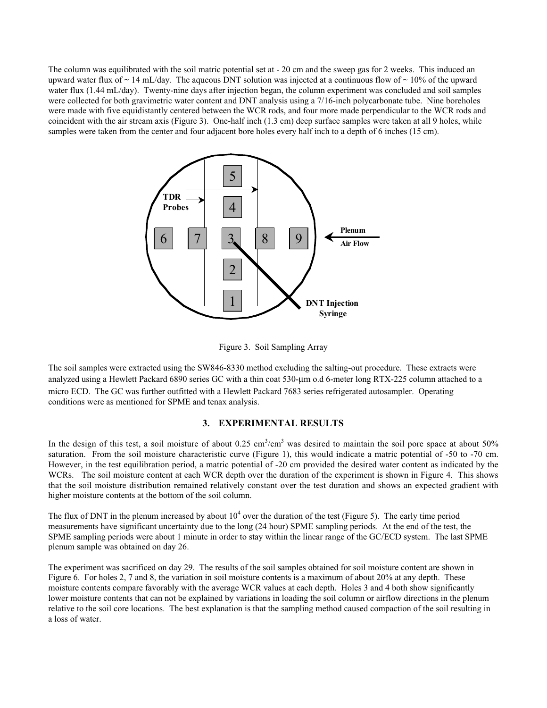The column was equilibrated with the soil matric potential set at - 20 cm and the sweep gas for 2 weeks. This induced an upward water flux of  $\sim 14$  mL/day. The aqueous DNT solution was injected at a continuous flow of  $\sim 10\%$  of the upward water flux (1.44 mL/day). Twenty-nine days after injection began, the column experiment was concluded and soil samples were collected for both gravimetric water content and DNT analysis using a 7/16-inch polycarbonate tube. Nine boreholes were made with five equidistantly centered between the WCR rods, and four more made perpendicular to the WCR rods and coincident with the air stream axis (Figure 3). One-half inch (1.3 cm) deep surface samples were taken at all 9 holes, while samples were taken from the center and four adjacent bore holes every half inch to a depth of 6 inches (15 cm).



Figure 3. Soil Sampling Array

The soil samples were extracted using the SW846-8330 method excluding the salting-out procedure. These extracts were analyzed using a Hewlett Packard 6890 series GC with a thin coat 530-um o.d 6-meter long RTX-225 column attached to a micro ECD. The GC was further outfitted with a Hewlett Packard 7683 series refrigerated autosampler. Operating conditions were as mentioned for SPME and tenax analysis.

## **3. EXPERIMENTAL RESULTS**

In the design of this test, a soil moisture of about 0.25  $\text{cm}^3/\text{cm}^3$  was desired to maintain the soil pore space at about 50% saturation. From the soil moisture characteristic curve (Figure 1), this would indicate a matric potential of -50 to -70 cm. However, in the test equilibration period, a matric potential of -20 cm provided the desired water content as indicated by the WCRs. The soil moisture content at each WCR depth over the duration of the experiment is shown in Figure 4. This shows that the soil moisture distribution remained relatively constant over the test duration and shows an expected gradient with higher moisture contents at the bottom of the soil column.

The flux of DNT in the plenum increased by about  $10^4$  over the duration of the test (Figure 5). The early time period measurements have significant uncertainty due to the long (24 hour) SPME sampling periods. At the end of the test, the SPME sampling periods were about 1 minute in order to stay within the linear range of the GC/ECD system. The last SPME plenum sample was obtained on day 26.

The experiment was sacrificed on day 29. The results of the soil samples obtained for soil moisture content are shown in Figure 6. For holes 2, 7 and 8, the variation in soil moisture contents is a maximum of about 20% at any depth. These moisture contents compare favorably with the average WCR values at each depth. Holes 3 and 4 both show significantly lower moisture contents that can not be explained by variations in loading the soil column or airflow directions in the plenum relative to the soil core locations. The best explanation is that the sampling method caused compaction of the soil resulting in a loss of water.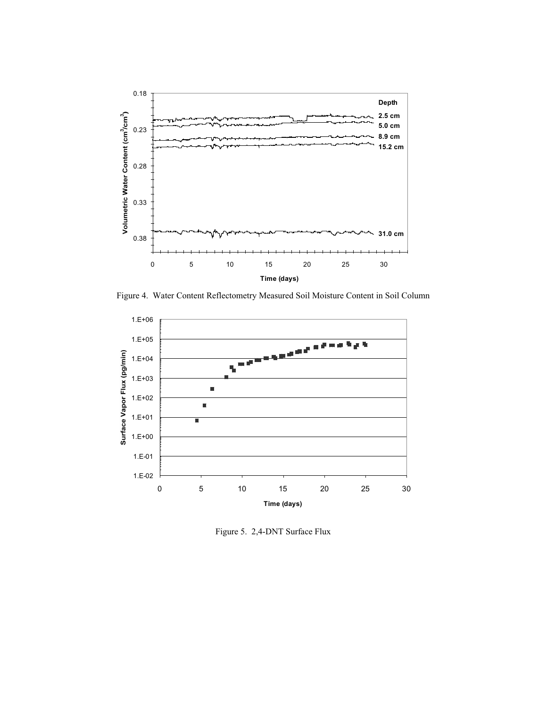

Figure 4. Water Content Reflectometry Measured Soil Moisture Content in Soil Column



Figure 5. 2,4-DNT Surface Flux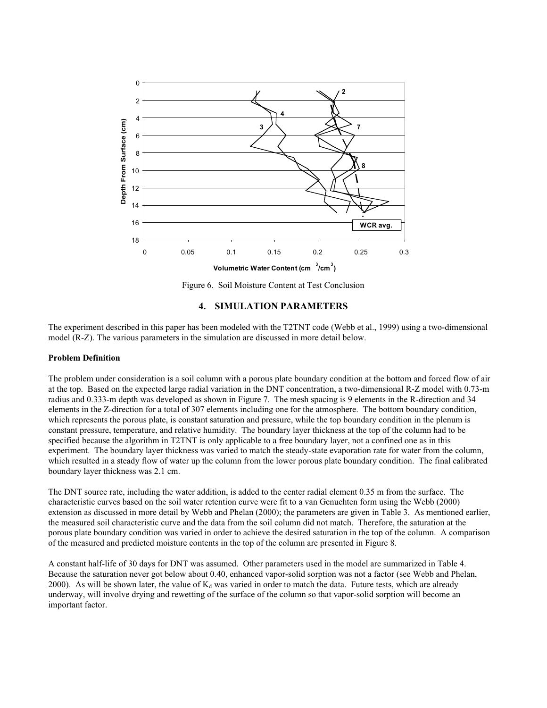

Figure 6. Soil Moisture Content at Test Conclusion

## **4. SIMULATION PARAMETERS**

The experiment described in this paper has been modeled with the T2TNT code (Webb et al., 1999) using a two-dimensional model (R-Z). The various parameters in the simulation are discussed in more detail below.

#### **Problem Definition**

The problem under consideration is a soil column with a porous plate boundary condition at the bottom and forced flow of air at the top. Based on the expected large radial variation in the DNT concentration, a two-dimensional R-Z model with 0.73-m radius and 0.333-m depth was developed as shown in Figure 7. The mesh spacing is 9 elements in the R-direction and 34 elements in the Z-direction for a total of 307 elements including one for the atmosphere. The bottom boundary condition, which represents the porous plate, is constant saturation and pressure, while the top boundary condition in the plenum is constant pressure, temperature, and relative humidity. The boundary layer thickness at the top of the column had to be specified because the algorithm in T2TNT is only applicable to a free boundary layer, not a confined one as in this experiment. The boundary layer thickness was varied to match the steady-state evaporation rate for water from the column, which resulted in a steady flow of water up the column from the lower porous plate boundary condition. The final calibrated boundary layer thickness was 2.1 cm.

The DNT source rate, including the water addition, is added to the center radial element 0.35 m from the surface. The characteristic curves based on the soil water retention curve were fit to a van Genuchten form using the Webb (2000) extension as discussed in more detail by Webb and Phelan (2000); the parameters are given in Table 3. As mentioned earlier, the measured soil characteristic curve and the data from the soil column did not match. Therefore, the saturation at the porous plate boundary condition was varied in order to achieve the desired saturation in the top of the column. A comparison of the measured and predicted moisture contents in the top of the column are presented in Figure 8.

A constant half-life of 30 days for DNT was assumed. Other parameters used in the model are summarized in Table 4. Because the saturation never got below about 0.40, enhanced vapor-solid sorption was not a factor (see Webb and Phelan, 2000). As will be shown later, the value of  $K_d$  was varied in order to match the data. Future tests, which are already underway, will involve drying and rewetting of the surface of the column so that vapor-solid sorption will become an important factor.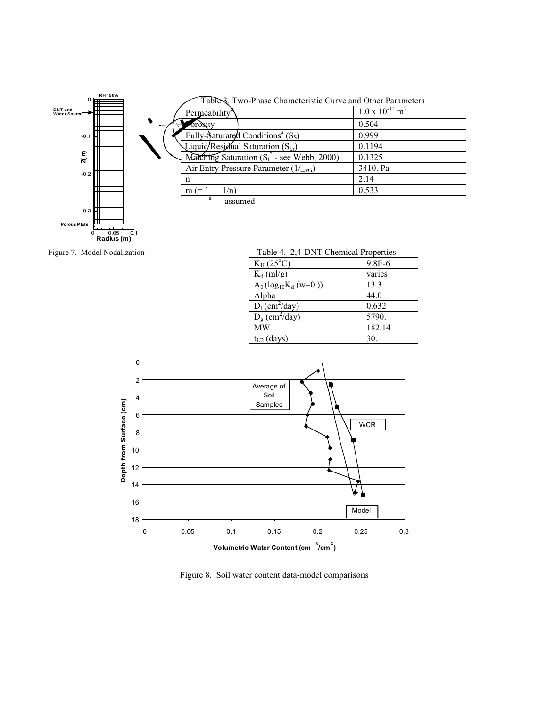

Figure 7. Model Nodalization Table 4. 2,4-DNT Chemical Properties

| $K_H$ (25 <sup>°</sup> C)                       | 9.8E-6 |
|-------------------------------------------------|--------|
| $K_d$ (ml/g)                                    | varies |
| $A_0$ (log <sub>10</sub> K <sub>d</sub> (w=0.)) | 13.3   |
| Alpha                                           | 44.0   |
| $D_1$ (cm <sup>2</sup> /day)                    | 0.632  |
| $D_g$ (cm <sup>2</sup> /day)                    | 5790.  |
| <b>MW</b>                                       | 182.14 |

 $t_{1/2}$  (days) 30.



Figure 8. Soil water content data-model comparisons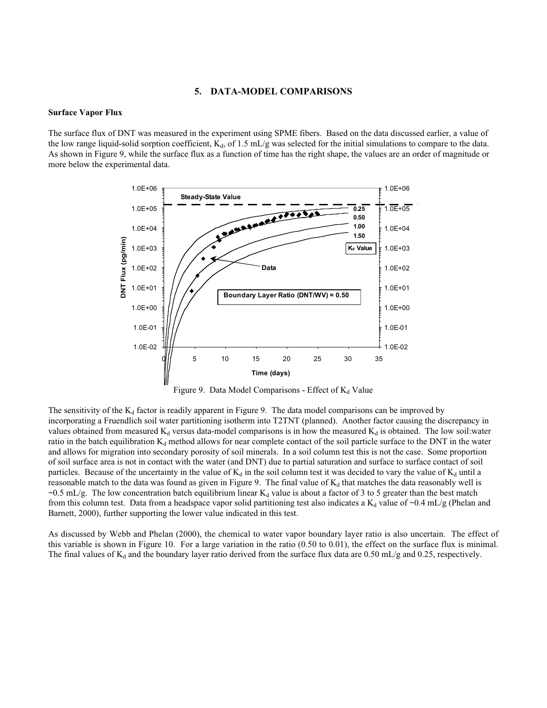#### **5. DATA-MODEL COMPARISONS**

#### **Surface Vapor Flux**

The surface flux of DNT was measured in the experiment using SPME fibers. Based on the data discussed earlier, a value of the low range liquid-solid sorption coefficient,  $K_d$ , of 1.5 mL/g was selected for the initial simulations to compare to the data. As shown in Figure 9, while the surface flux as a function of time has the right shape, the values are an order of magnitude or more below the experimental data.



Figure 9. Data Model Comparisons - Effect of  $K_d$  Value

The sensitivity of the  $K_d$  factor is readily apparent in Figure 9. The data model comparisons can be improved by incorporating a Fruendlich soil water partitioning isotherm into T2TNT (planned). Another factor causing the discrepancy in values obtained from measured  $K_d$  versus data-model comparisons is in how the measured  $K_d$  is obtained. The low soil:water ratio in the batch equilibration  $K_d$  method allows for near complete contact of the soil particle surface to the DNT in the water and allows for migration into secondary porosity of soil minerals. In a soil column test this is not the case. Some proportion of soil surface area is not in contact with the water (and DNT) due to partial saturation and surface to surface contact of soil particles. Because of the uncertainty in the value of  $K_d$  in the soil column test it was decided to vary the value of  $K_d$  until a reasonable match to the data was found as given in Figure 9. The final value of  $K_d$  that matches the data reasonably well is ~0.5 mL/g. The low concentration batch equilibrium linear  $K_d$  value is about a factor of 3 to 5 greater than the best match from this column test. Data from a headspace vapor solid partitioning test also indicates a  $K_d$  value of ~0.4 mL/g (Phelan and Barnett, 2000), further supporting the lower value indicated in this test.

As discussed by Webb and Phelan (2000), the chemical to water vapor boundary layer ratio is also uncertain. The effect of this variable is shown in Figure 10. For a large variation in the ratio (0.50 to 0.01), the effect on the surface flux is minimal. The final values of  $K_d$  and the boundary layer ratio derived from the surface flux data are 0.50 mL/g and 0.25, respectively.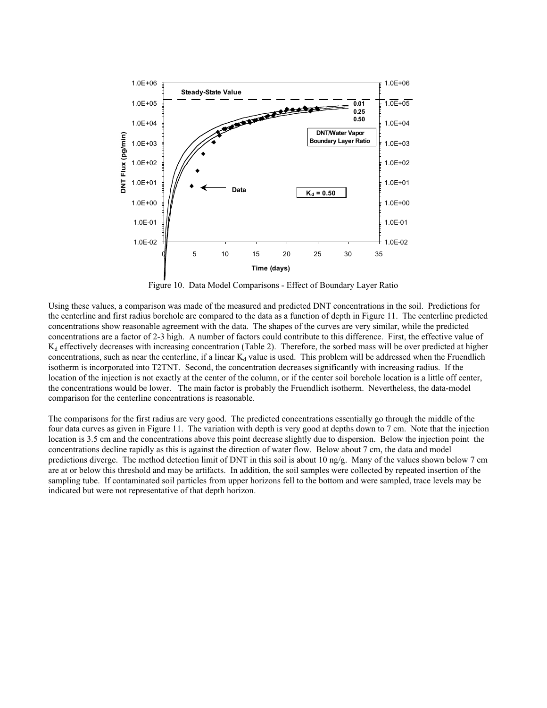

Figure 10. Data Model Comparisons - Effect of Boundary Layer Ratio

Using these values, a comparison was made of the measured and predicted DNT concentrations in the soil. Predictions for the centerline and first radius borehole are compared to the data as a function of depth in Figure 11. The centerline predicted concentrations show reasonable agreement with the data. The shapes of the curves are very similar, while the predicted concentrations are a factor of 2-3 high. A number of factors could contribute to this difference. First, the effective value of  $K_d$  effectively decreases with increasing concentration (Table 2). Therefore, the sorbed mass will be over predicted at higher concentrations, such as near the centerline, if a linear  $K_d$  value is used. This problem will be addressed when the Fruendlich isotherm is incorporated into T2TNT. Second, the concentration decreases significantly with increasing radius. If the location of the injection is not exactly at the center of the column, or if the center soil borehole location is a little off center, the concentrations would be lower. The main factor is probably the Fruendlich isotherm. Nevertheless, the data-model comparison for the centerline concentrations is reasonable.

The comparisons for the first radius are very good. The predicted concentrations essentially go through the middle of the four data curves as given in Figure 11. The variation with depth is very good at depths down to 7 cm. Note that the injection location is 3.5 cm and the concentrations above this point decrease slightly due to dispersion. Below the injection point the concentrations decline rapidly as this is against the direction of water flow. Below about 7 cm, the data and model predictions diverge. The method detection limit of DNT in this soil is about 10 ng/g. Many of the values shown below 7 cm are at or below this threshold and may be artifacts. In addition, the soil samples were collected by repeated insertion of the sampling tube. If contaminated soil particles from upper horizons fell to the bottom and were sampled, trace levels may be indicated but were not representative of that depth horizon.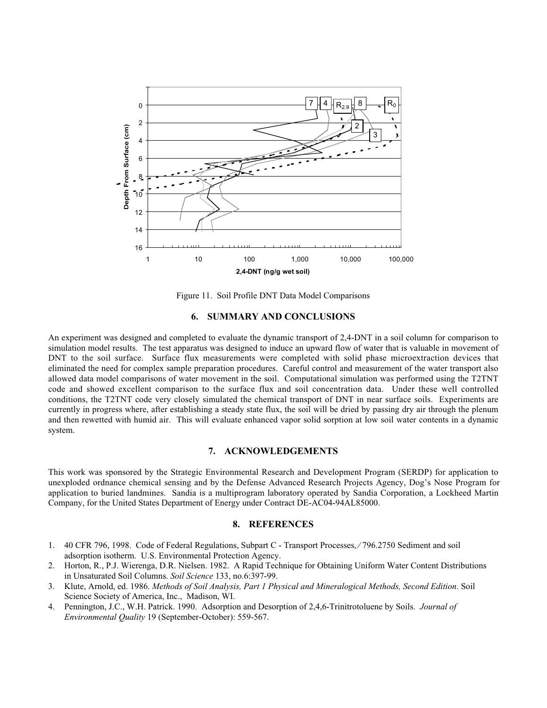

Figure 11. Soil Profile DNT Data Model Comparisons

## **6. SUMMARY AND CONCLUSIONS**

An experiment was designed and completed to evaluate the dynamic transport of 2,4-DNT in a soil column for comparison to simulation model results. The test apparatus was designed to induce an upward flow of water that is valuable in movement of DNT to the soil surface. Surface flux measurements were completed with solid phase microextraction devices that eliminated the need for complex sample preparation procedures. Careful control and measurement of the water transport also allowed data model comparisons of water movement in the soil. Computational simulation was performed using the T2TNT code and showed excellent comparison to the surface flux and soil concentration data. Under these well controlled conditions, the T2TNT code very closely simulated the chemical transport of DNT in near surface soils. Experiments are currently in progress where, after establishing a steady state flux, the soil will be dried by passing dry air through the plenum and then rewetted with humid air. This will evaluate enhanced vapor solid sorption at low soil water contents in a dynamic system.

## **7. ACKNOWLEDGEMENTS**

This work was sponsored by the Strategic Environmental Research and Development Program (SERDP) for application to unexploded ordnance chemical sensing and by the Defense Advanced Research Projects Agency, Dog's Nose Program for application to buried landmines. Sandia is a multiprogram laboratory operated by Sandia Corporation, a Lockheed Martin Company, for the United States Department of Energy under Contract DE-AC04-94AL85000.

## **8. REFERENCES**

- 1. 40 CFR 796, 1998. Code of Federal Regulations, Subpart C Transport Processes, ⁄ 796.2750 Sediment and soil adsorption isotherm. U.S. Environmental Protection Agency.
- 2. Horton, R., P.J. Wierenga, D.R. Nielsen. 1982. A Rapid Technique for Obtaining Uniform Water Content Distributions in Unsaturated Soil Columns. *Soil Science* 133, no.6:397-99.
- 3. Klute, Arnold, ed. 1986. *Methods of Soil Analysis, Part 1 Physical and Mineralogical Methods, Second Edition*. Soil Science Society of America, Inc., Madison, WI.
- 4. Pennington, J.C., W.H. Patrick. 1990. Adsorption and Desorption of 2,4,6-Trinitrotoluene by Soils. *Journal of Environmental Quality* 19 (September-October): 559-567.